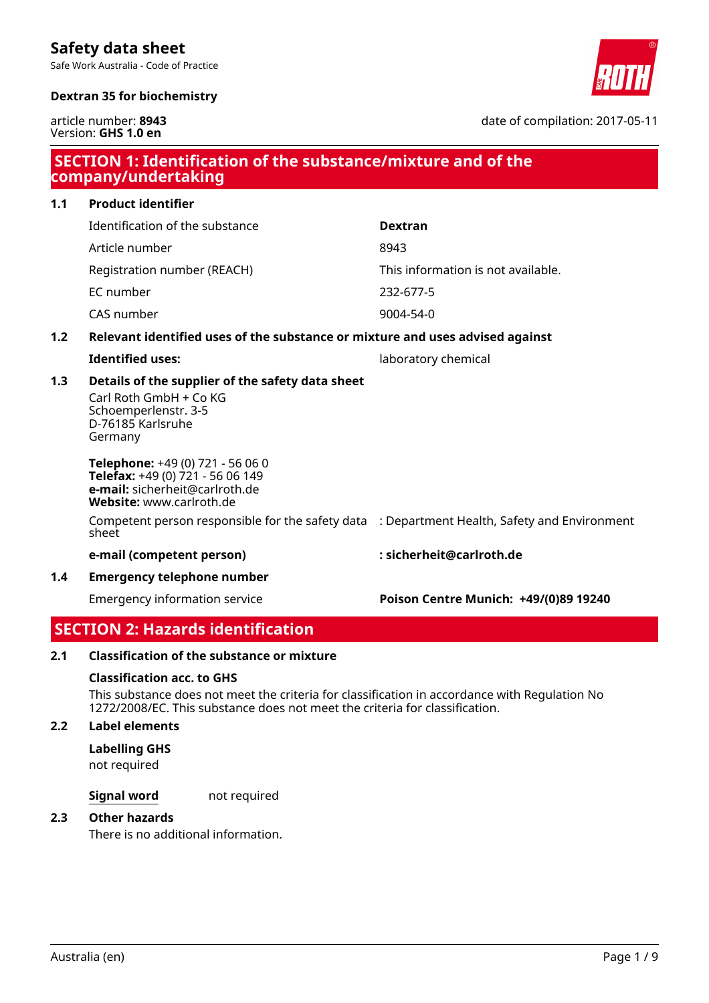Safe Work Australia - Code of Practice





article number: **8943** Version: **GHS 1.0 en**

date of compilation: 2017-05-11

| SECTION 1: Identification of the substance/mixture and of the<br>company/undertaking |                                                                                                                                    |                                       |  |
|--------------------------------------------------------------------------------------|------------------------------------------------------------------------------------------------------------------------------------|---------------------------------------|--|
| 1.1                                                                                  | <b>Product identifier</b>                                                                                                          |                                       |  |
|                                                                                      | Identification of the substance                                                                                                    | <b>Dextran</b>                        |  |
|                                                                                      | Article number                                                                                                                     | 8943                                  |  |
|                                                                                      | Registration number (REACH)                                                                                                        | This information is not available.    |  |
|                                                                                      | EC number                                                                                                                          | 232-677-5                             |  |
|                                                                                      | CAS number                                                                                                                         | 9004-54-0                             |  |
| 1.2                                                                                  | Relevant identified uses of the substance or mixture and uses advised against                                                      |                                       |  |
|                                                                                      | <b>Identified uses:</b>                                                                                                            | laboratory chemical                   |  |
| 1.3                                                                                  | Details of the supplier of the safety data sheet<br>Carl Roth GmbH + Co KG<br>Schoemperlenstr. 3-5<br>D-76185 Karlsruhe<br>Germany |                                       |  |
|                                                                                      | Telephone: +49 (0) 721 - 56 06 0<br>Telefax: +49 (0) 721 - 56 06 149<br>e-mail: sicherheit@carlroth.de<br>Website: www.carlroth.de |                                       |  |
|                                                                                      | Competent person responsible for the safety data : Department Health, Safety and Environment<br>sheet                              |                                       |  |
|                                                                                      | e-mail (competent person)                                                                                                          | : sicherheit@carlroth.de              |  |
| 1.4                                                                                  | <b>Emergency telephone number</b>                                                                                                  |                                       |  |
|                                                                                      | <b>Emergency information service</b>                                                                                               | Poison Centre Munich: +49/(0)89 19240 |  |

# **SECTION 2: Hazards identification**

### **2.1 Classification of the substance or mixture**

### **Classification acc. to GHS**

This substance does not meet the criteria for classification in accordance with Regulation No 1272/2008/EC. This substance does not meet the criteria for classification.

### **2.2 Label elements**

### **Labelling GHS**

not required

### **Signal word** not required

### **2.3 Other hazards**

There is no additional information.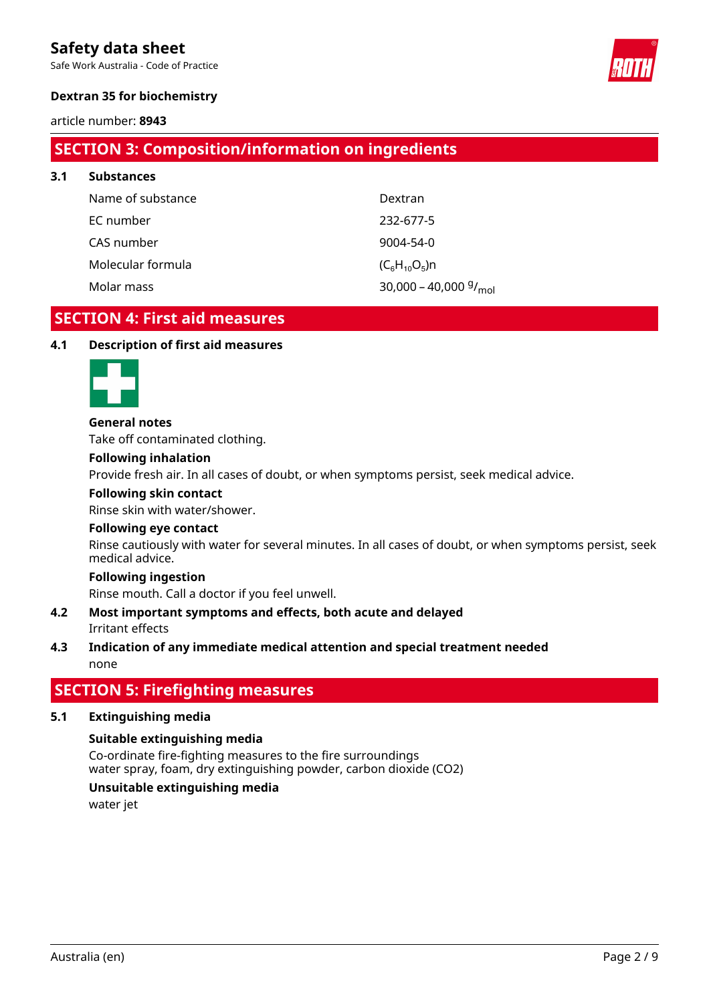Safe Work Australia - Code of Practice



### **Dextran 35 for biochemistry**

### article number: **8943**

**3.1 Substances**

# **SECTION 3: Composition/information on ingredients**

| <b>Substances</b> |                                 |
|-------------------|---------------------------------|
| Name of substance | Dextran                         |
| EC number         | 232-677-5                       |
| CAS number        | $9004 - 54 - 0$                 |
| Molecular formula | $(C_6H_{10}O_5)n$               |
| Molar mass        | 30,000 - 40,000 $\frac{q}{mol}$ |

# **SECTION 4: First aid measures**

### **4.1 Description of first aid measures**



### **General notes**

Take off contaminated clothing.

#### **Following inhalation**

Provide fresh air. In all cases of doubt, or when symptoms persist, seek medical advice.

#### **Following skin contact**

Rinse skin with water/shower.

### **Following eye contact**

Rinse cautiously with water for several minutes. In all cases of doubt, or when symptoms persist, seek medical advice.

#### **Following ingestion**

Rinse mouth. Call a doctor if you feel unwell.

### Irritant effects **4.2 Most important symptoms and effects, both acute and delayed**

### none **4.3 Indication of any immediate medical attention and special treatment needed**

# **SECTION 5: Firefighting measures**

### **5.1 Extinguishing media**

### **Suitable extinguishing media**

Co-ordinate fire-fighting measures to the fire surroundings water spray, foam, dry extinguishing powder, carbon dioxide (CO2)

### **Unsuitable extinguishing media**

water jet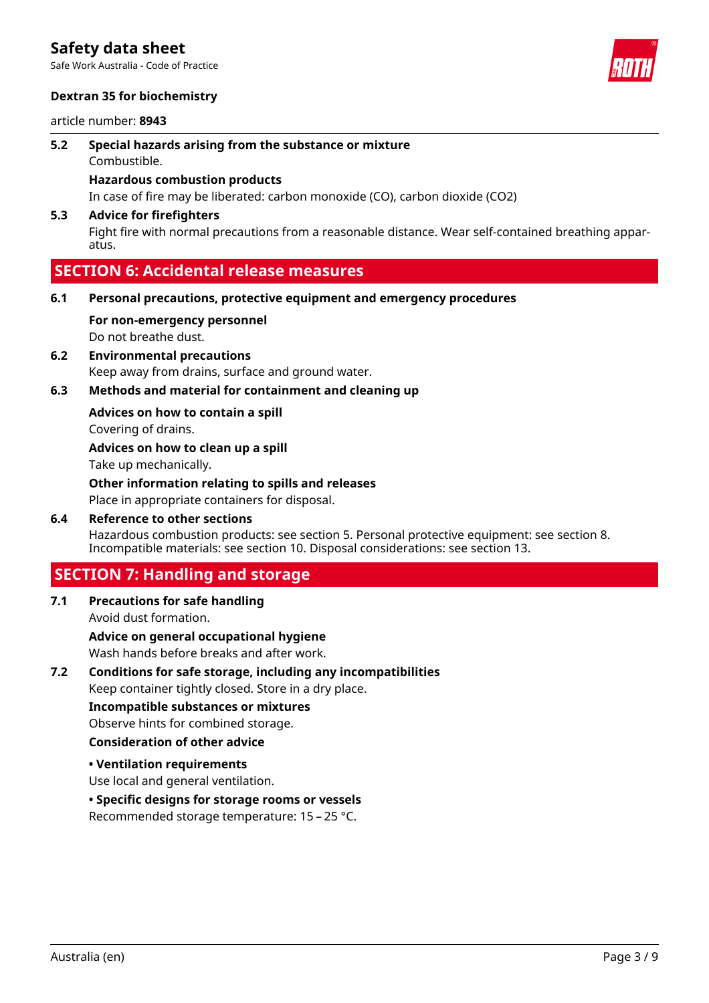Safe Work Australia - Code of Practice

### **Dextran 35 for biochemistry**

article number: **8943**

- **5.2 Special hazards arising from the substance or mixture**
	- Combustible.

### **Hazardous combustion products**

In case of fire may be liberated: carbon monoxide (CO), carbon dioxide (CO2)

### **5.3 Advice for firefighters**

Fight fire with normal precautions from a reasonable distance. Wear self-contained breathing apparatus.

# **SECTION 6: Accidental release measures**

- **6.1 Personal precautions, protective equipment and emergency procedures**
	- Do not breathe dust. **For non-emergency personnel**
- Keep away from drains, surface and ground water. **6.2 Environmental precautions**
- **6.3 Methods and material for containment and cleaning up**

### **Advices on how to contain a spill**

Covering of drains.

Take up mechanically. **Advices on how to clean up a spill**

Place in appropriate containers for disposal. **Other information relating to spills and releases**

Hazardous combustion products: see section 5. Personal protective equipment: see section 8. Incompatible materials: see section 10. Disposal considerations: see section 13. **6.4 Reference to other sections**

# **SECTION 7: Handling and storage**

Avoid dust formation. **7.1 Precautions for safe handling**

Wash hands before breaks and after work. **Advice on general occupational hygiene**

Keep container tightly closed. Store in a dry place. **7.2 Conditions for safe storage, including any incompatibilities**

**Incompatible substances or mixtures**

Observe hints for combined storage.

### **Consideration of other advice**

**• Ventilation requirements**

Use local and general ventilation.

### **• Specific designs for storage rooms or vessels**

Recommended storage temperature: 15 – 25 °C.

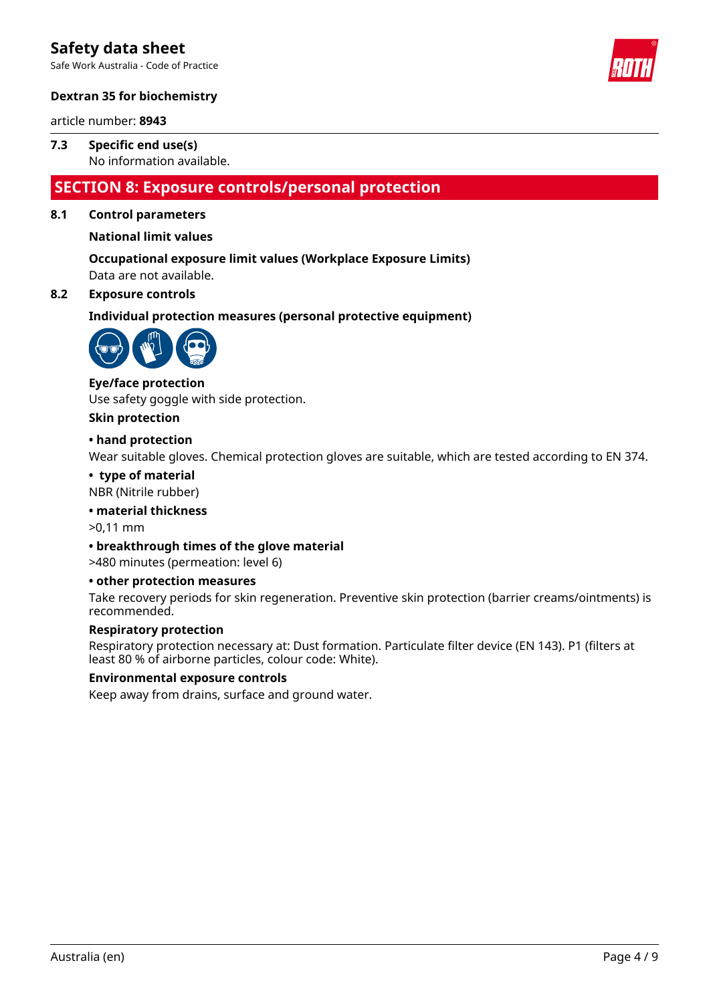Safe Work Australia - Code of Practice



### **Dextran 35 for biochemistry**

article number: **8943**

### No information available. **7.3 Specific end use(s)**

# **SECTION 8: Exposure controls/personal protection**

### **8.1 Control parameters**

### **National limit values**

Data are not available. **Occupational exposure limit values (Workplace Exposure Limits)**

### **8.2 Exposure controls**

**Individual protection measures (personal protective equipment)**



### **Eye/face protection**

Use safety goggle with side protection.

#### **Skin protection**

### **• hand protection**

Wear suitable gloves. Chemical protection gloves are suitable, which are tested according to EN 374.

#### **• type of material**

NBR (Nitrile rubber)

### **• material thickness**

>0,11 mm

### **• breakthrough times of the glove material**

>480 minutes (permeation: level 6)

### **• other protection measures**

Take recovery periods for skin regeneration. Preventive skin protection (barrier creams/ointments) is recommended.

### **Respiratory protection**

Respiratory protection necessary at: Dust formation. Particulate filter device (EN 143). P1 (filters at least 80 % of airborne particles, colour code: White).

### **Environmental exposure controls**

Keep away from drains, surface and ground water.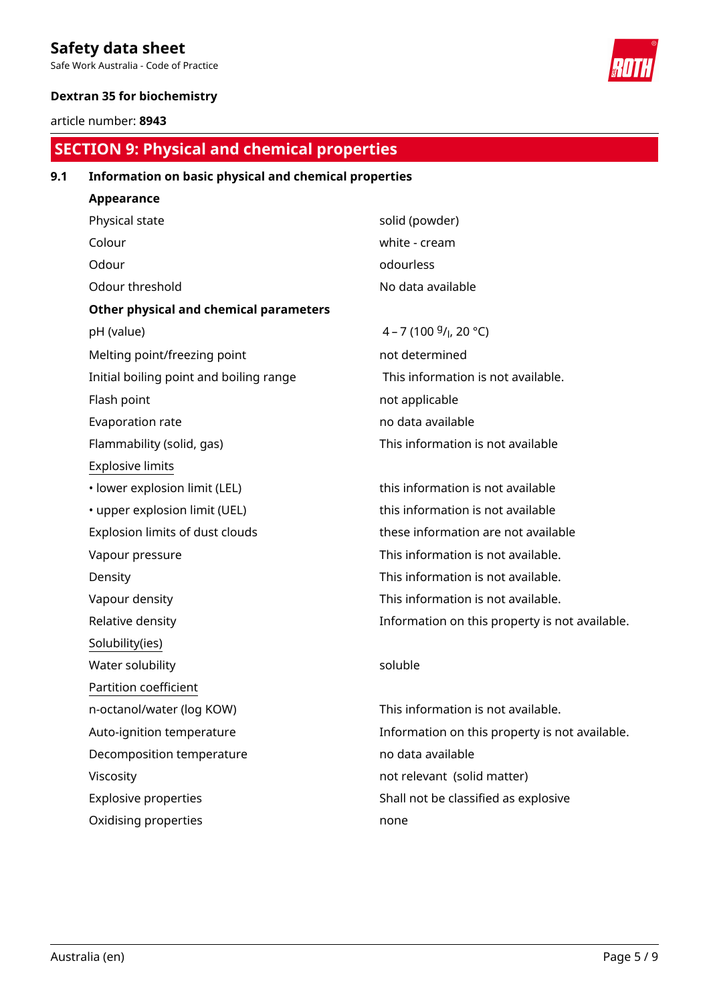Safe Work Australia - Code of Practice

### **Dextran 35 for biochemistry**

article number: **8943**

# **SECTION 9: Physical and chemical properties**

### **9.1 Information on basic physical and chemical properties**

**Appearance** Physical state solid (powder) Colour white - cream Odour odourless Odour threshold and a series are all the No data available **Other physical and chemical parameters** pH (value)  $4 - 7 (100 \frac{g}{l} h^2)(20 \degree C)$ Melting point/freezing point not determined Initial boiling point and boiling range This information is not available. Flash point **not** applicable Evaporation rate no data available Flammability (solid, gas) This information is not available Explosive limits • lower explosion limit (LEL) this information is not available • upper explosion limit (UEL) this information is not available Explosion limits of dust clouds these information are not available Vapour pressure This information is not available. Density **Density Density This information is not available.** Vapour density **This information is not available.** Relative density Information on this property is not available. Solubility(ies) Water solubility and the soluble soluble soluble Partition coefficient n-octanol/water (log KOW) This information is not available. Auto-ignition temperature Information on this property is not available. Decomposition temperature no data available Viscosity not relevant (solid matter) Explosive properties Shall not be classified as explosive Oxidising properties none

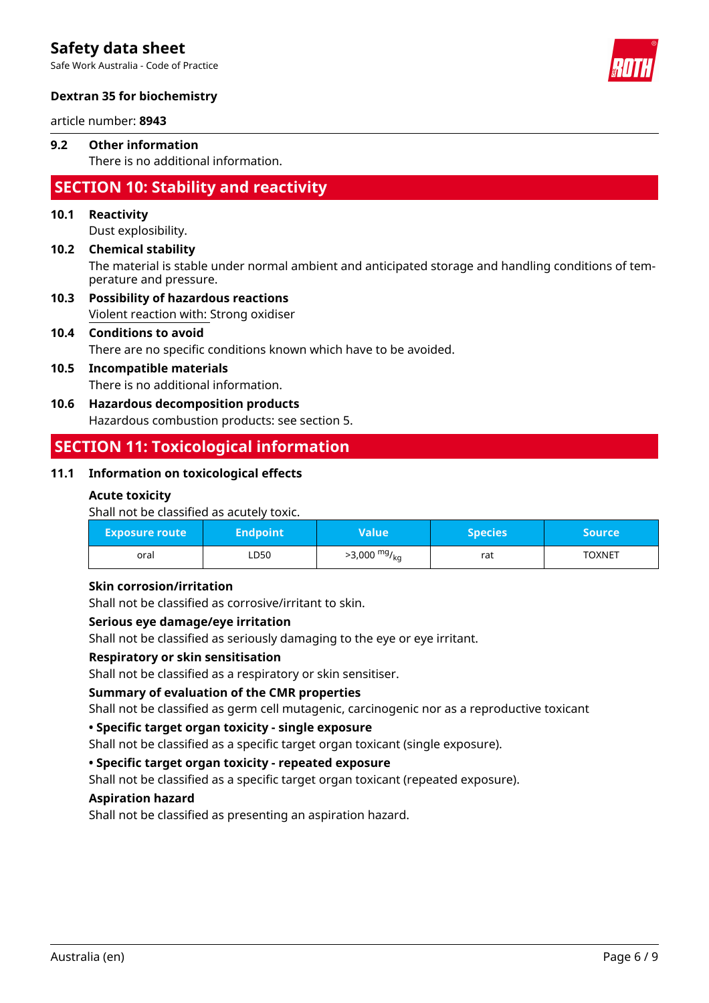Safe Work Australia - Code of Practice



### **Dextran 35 for biochemistry**

article number: **8943**

### There is no additional information. **9.2 Other information**

# **SECTION 10: Stability and reactivity**

### **10.1 Reactivity**

Dust explosibility.

### The material is stable under normal ambient and anticipated storage and handling conditions of temperature and pressure. **10.2 Chemical stability**

Violent reaction with: Strong oxidiser **10.3 Possibility of hazardous reactions**

# **10.4 Conditions to avoid**

There are no specific conditions known which have to be avoided.

### There is no additional information. **10.5 Incompatible materials**

# **10.6 Hazardous decomposition products**

Hazardous combustion products: see section 5.

# **SECTION 11: Toxicological information**

### **11.1 Information on toxicological effects**

### **Acute toxicity**

Shall not be classified as acutely toxic.

| <b>Exposure route</b> | Endpoint <b> </b> | Value                    | <b>Species</b> | <b>Source</b> |
|-----------------------|-------------------|--------------------------|----------------|---------------|
| oral                  | LD50              | >3,000 mg/ <sub>kg</sub> | rat            | <b>TOXNET</b> |

### **Skin corrosion/irritation**

Shall not be classified as corrosive/irritant to skin.

### **Serious eye damage/eye irritation**

Shall not be classified as seriously damaging to the eye or eye irritant.

### **Respiratory or skin sensitisation**

Shall not be classified as a respiratory or skin sensitiser.

### **Summary of evaluation of the CMR properties**

Shall not be classified as germ cell mutagenic, carcinogenic nor as a reproductive toxicant

### **• Specific target organ toxicity - single exposure**

Shall not be classified as a specific target organ toxicant (single exposure).

### **• Specific target organ toxicity - repeated exposure**

Shall not be classified as a specific target organ toxicant (repeated exposure).

### **Aspiration hazard**

Shall not be classified as presenting an aspiration hazard.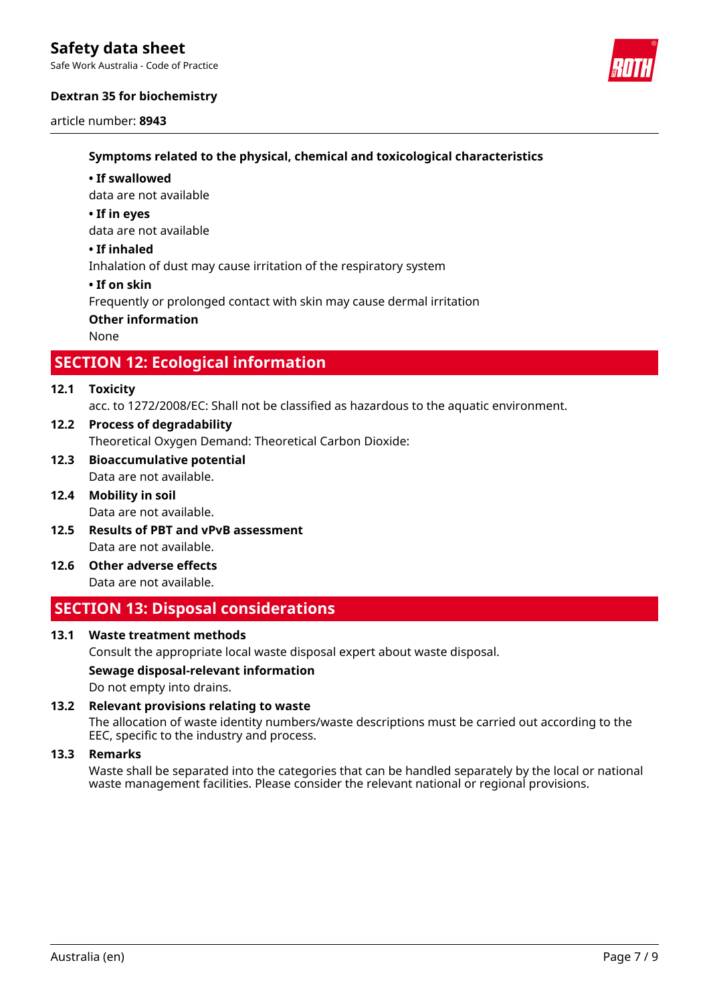Safe Work Australia - Code of Practice

### **Dextran 35 for biochemistry**

article number: **8943**



### **Symptoms related to the physical, chemical and toxicological characteristics**

#### **• If swallowed**

data are not available

#### **• If in eyes**

data are not available

#### **• If inhaled**

Inhalation of dust may cause irritation of the respiratory system

### **• If on skin**

Frequently or prolonged contact with skin may cause dermal irritation

### **Other information**

None

# **SECTION 12: Ecological information**

### **12.1 Toxicity**

acc. to 1272/2008/EC: Shall not be classified as hazardous to the aquatic environment.

- Theoretical Oxygen Demand: Theoretical Carbon Dioxide: **12.2 Process of degradability**
- Data are not available. **12.3 Bioaccumulative potential**
- Data are not available. **12.4 Mobility in soil**
- Data are not available. **12.5 Results of PBT and vPvB assessment**
- Data are not available. **12.6 Other adverse effects**

# **SECTION 13: Disposal considerations**

### **13.1 Waste treatment methods**

Consult the appropriate local waste disposal expert about waste disposal.

### **Sewage disposal-relevant information**

Do not empty into drains.

### **13.2 Relevant provisions relating to waste**

The allocation of waste identity numbers/waste descriptions must be carried out according to the EEC, specific to the industry and process.

#### **13.3 Remarks**

Waste shall be separated into the categories that can be handled separately by the local or national waste management facilities. Please consider the relevant national or regional provisions.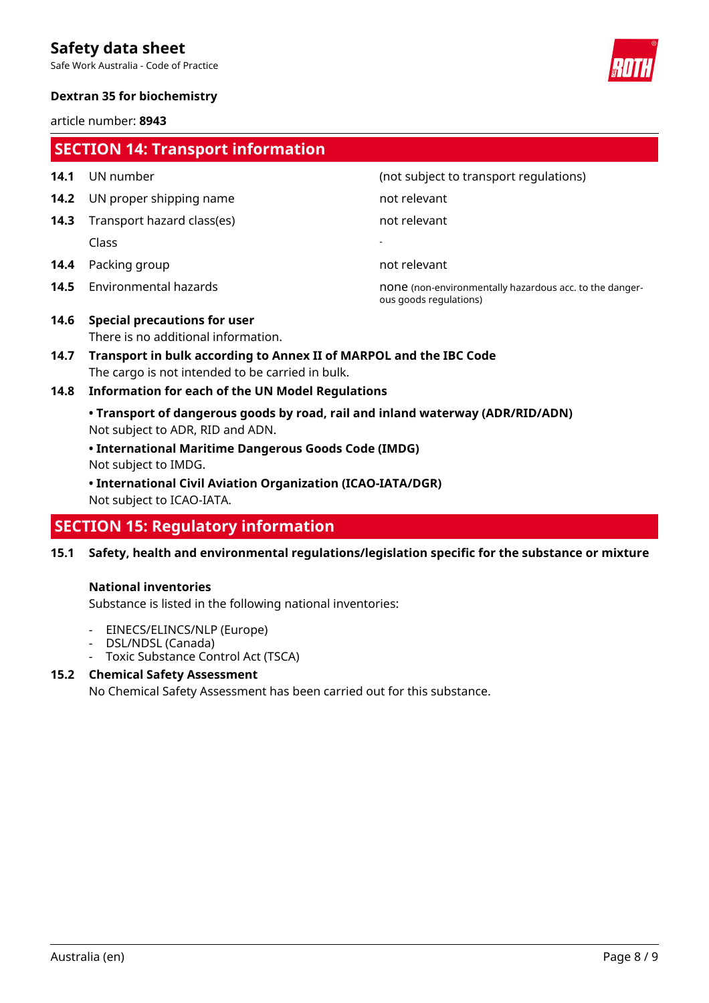Safe Work Australia - Code of Practice



### **Dextran 35 for biochemistry**

article number: **8943**

| <b>SECTION 14: Transport information</b> |                                                                                                                        |                                                                                   |  |  |
|------------------------------------------|------------------------------------------------------------------------------------------------------------------------|-----------------------------------------------------------------------------------|--|--|
| 14.1                                     | UN number                                                                                                              | (not subject to transport regulations)                                            |  |  |
| 14.2                                     | UN proper shipping name                                                                                                | not relevant                                                                      |  |  |
| 14.3                                     | Transport hazard class(es)                                                                                             | not relevant                                                                      |  |  |
|                                          | Class                                                                                                                  |                                                                                   |  |  |
| 14.4                                     | Packing group                                                                                                          | not relevant                                                                      |  |  |
| 14.5                                     | Environmental hazards                                                                                                  | none (non-environmentally hazardous acc. to the danger-<br>ous goods regulations) |  |  |
| 14.6                                     | <b>Special precautions for user</b><br>There is no additional information.                                             |                                                                                   |  |  |
| 14.7                                     | Transport in bulk according to Annex II of MARPOL and the IBC Code<br>The cargo is not intended to be carried in bulk. |                                                                                   |  |  |
| 14.8                                     | <b>Information for each of the UN Model Regulations</b>                                                                |                                                                                   |  |  |
|                                          | • Transport of dangerous goods by road, rail and inland waterway (ADR/RID/ADN)<br>Not subject to ADR, RID and ADN.     |                                                                                   |  |  |
|                                          | • International Maritime Dangerous Goods Code (IMDG)<br>Not subject to IMDG.                                           |                                                                                   |  |  |
|                                          | • International Civil Aviation Organization (ICAO-IATA/DGR)                                                            |                                                                                   |  |  |

Not subject to ICAO-IATA.

# **SECTION 15: Regulatory information**

**15.1 Safety, health and environmental regulations/legislation specific for the substance or mixture**

### **National inventories**

Substance is listed in the following national inventories:

- EINECS/ELINCS/NLP (Europe)
- DSL/NDSL (Canada)
- Toxic Substance Control Act (TSCA)

# **15.2 Chemical Safety Assessment**

No Chemical Safety Assessment has been carried out for this substance.